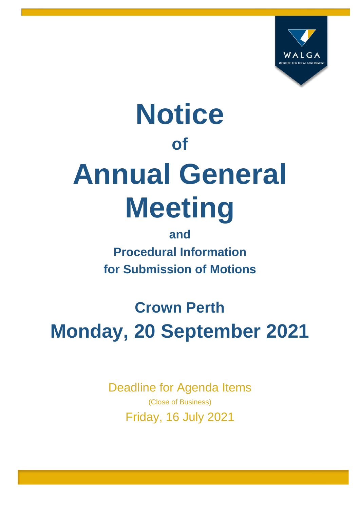

# **Notice of Annual General Meeting**

**and Procedural Information for Submission of Motions** 

**Crown Perth Monday, 20 September 2021** 

> Deadline for Agenda Items (Close of Business) Friday, 16 July 2021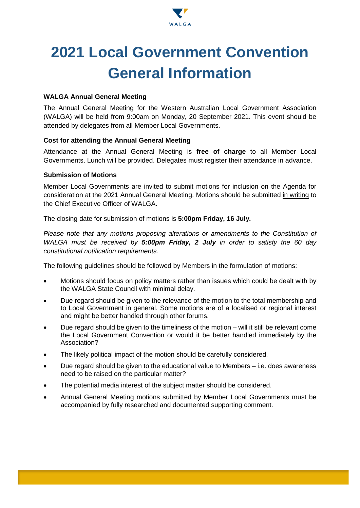

## **2021 Local Government Convention General Information**

#### **WALGA Annual General Meeting**

The Annual General Meeting for the Western Australian Local Government Association (WALGA) will be held from 9:00am on Monday, 20 September 2021. This event should be attended by delegates from all Member Local Governments.

#### **Cost for attending the Annual General Meeting**

Attendance at the Annual General Meeting is **free of charge** to all Member Local Governments. Lunch will be provided. Delegates must register their attendance in advance.

#### **Submission of Motions**

Member Local Governments are invited to submit motions for inclusion on the Agenda for consideration at the 2021 Annual General Meeting. Motions should be submitted in writing to the Chief Executive Officer of WALGA.

The closing date for submission of motions is **5:00pm Friday, 16 July***.*

*Please note that any motions proposing alterations or amendments to the Constitution of WALGA must be received by 5:00pm Friday, 2 July in order to satisfy the 60 day constitutional notification requirements.*

The following guidelines should be followed by Members in the formulation of motions:

- Motions should focus on policy matters rather than issues which could be dealt with by the WALGA State Council with minimal delay.
- Due regard should be given to the relevance of the motion to the total membership and to Local Government in general. Some motions are of a localised or regional interest and might be better handled through other forums.
- Due regard should be given to the timeliness of the motion will it still be relevant come the Local Government Convention or would it be better handled immediately by the Association?
- The likely political impact of the motion should be carefully considered.
- Due regard should be given to the educational value to Members i.e. does awareness need to be raised on the particular matter?
- The potential media interest of the subject matter should be considered.
- Annual General Meeting motions submitted by Member Local Governments must be accompanied by fully researched and documented supporting comment.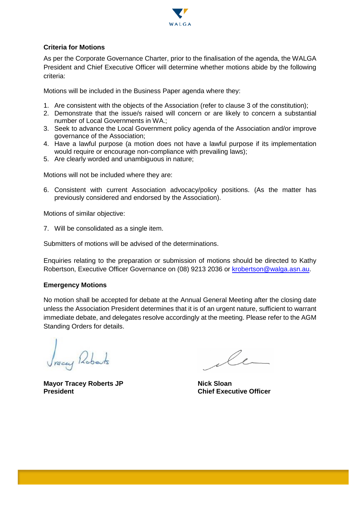

#### **Criteria for Motions**

As per the Corporate Governance Charter, prior to the finalisation of the agenda, the WALGA President and Chief Executive Officer will determine whether motions abide by the following criteria:

Motions will be included in the Business Paper agenda where they:

- 1. Are consistent with the objects of the Association (refer to clause 3 of the constitution);
- 2. Demonstrate that the issue/s raised will concern or are likely to concern a substantial number of Local Governments in WA.;
- 3. Seek to advance the Local Government policy agenda of the Association and/or improve governance of the Association;
- 4. Have a lawful purpose (a motion does not have a lawful purpose if its implementation would require or encourage non-compliance with prevailing laws);
- 5. Are clearly worded and unambiguous in nature;

Motions will not be included where they are:

6. Consistent with current Association advocacy/policy positions. (As the matter has previously considered and endorsed by the Association).

Motions of similar objective:

7. Will be consolidated as a single item.

Submitters of motions will be advised of the determinations.

Enquiries relating to the preparation or submission of motions should be directed to Kathy Robertson, Executive Officer Governance on (08) 9213 2036 or [krobertson@walga.asn.au.](mailto:krobertson@walga.asn.au)

#### **Emergency Motions**

No motion shall be accepted for debate at the Annual General Meeting after the closing date unless the Association President determines that it is of an urgent nature, sufficient to warrant immediate debate, and delegates resolve accordingly at the meeting. Please refer to the AGM Standing Orders for details.

Jracey Roberts

**Mayor Tracey Roberts JP** Nick Sloan **President Chief Executive Officer**